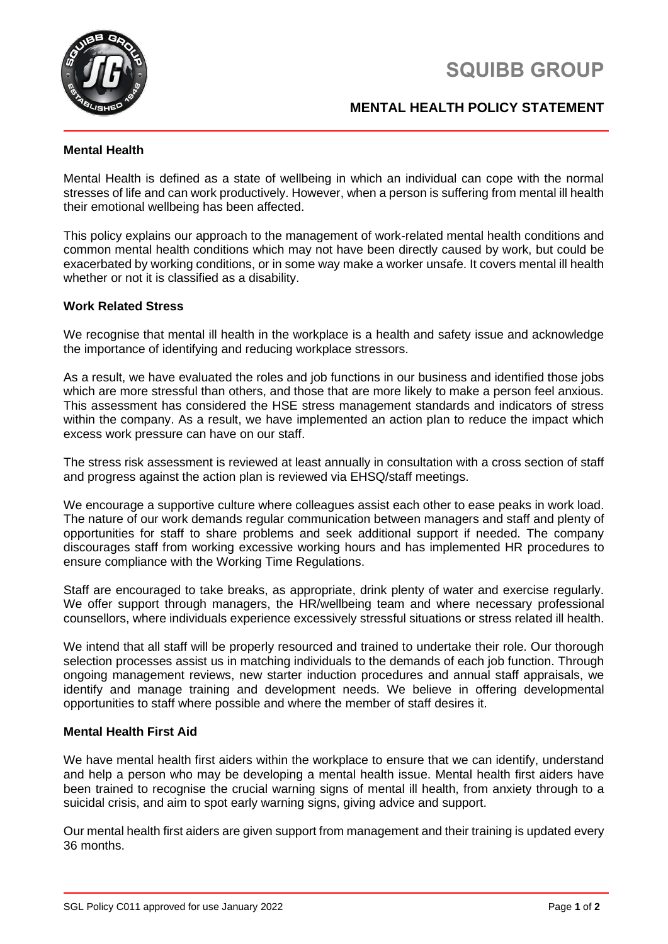

# **SQUIBB GROUP**

## **MENTAL HEALTH POLICY STATEMENT**

### **Mental Health**

Mental Health is defined as a state of wellbeing in which an individual can cope with the normal stresses of life and can work productively. However, when a person is suffering from mental ill health their emotional wellbeing has been affected.

This policy explains our approach to the management of work-related mental health conditions and common mental health conditions which may not have been directly caused by work, but could be exacerbated by working conditions, or in some way make a worker unsafe. It covers mental ill health whether or not it is classified as a disability.

#### **Work Related Stress**

We recognise that mental ill health in the workplace is a health and safety issue and acknowledge the importance of identifying and reducing workplace stressors.

As a result, we have evaluated the roles and job functions in our business and identified those jobs which are more stressful than others, and those that are more likely to make a person feel anxious. This assessment has considered the HSE stress management standards and indicators of stress within the company. As a result, we have implemented an action plan to reduce the impact which excess work pressure can have on our staff.

The stress risk assessment is reviewed at least annually in consultation with a cross section of staff and progress against the action plan is reviewed via EHSQ/staff meetings.

We encourage a supportive culture where colleagues assist each other to ease peaks in work load. The nature of our work demands regular communication between managers and staff and plenty of opportunities for staff to share problems and seek additional support if needed. The company discourages staff from working excessive working hours and has implemented HR procedures to ensure compliance with the Working Time Regulations.

Staff are encouraged to take breaks, as appropriate, drink plenty of water and exercise regularly. We offer support through managers, the HR/wellbeing team and where necessary professional counsellors, where individuals experience excessively stressful situations or stress related ill health.

We intend that all staff will be properly resourced and trained to undertake their role. Our thorough selection processes assist us in matching individuals to the demands of each job function. Through ongoing management reviews, new starter induction procedures and annual staff appraisals, we identify and manage training and development needs. We believe in offering developmental opportunities to staff where possible and where the member of staff desires it.

#### **Mental Health First Aid**

We have mental health first aiders within the workplace to ensure that we can identify, understand and help a person who may be developing a mental health issue. Mental health first aiders have been trained to recognise the crucial warning signs of mental ill health, from anxiety through to a suicidal crisis, and aim to spot early warning signs, giving advice and support.

Our mental health first aiders are given support from management and their training is updated every 36 months.